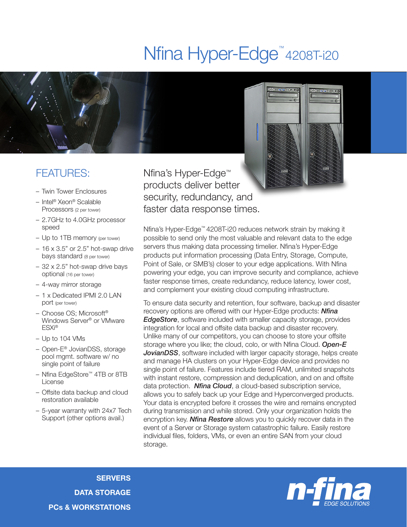# Nfina Hyper-Edge<sup>™</sup>4208T-i20



### FEATURES:

- Twin Tower Enclosures
- Intel® Xeon® Scalable Processors (2 per tower)
- 2.7GHz to 4.0GHz processor speed
- Up to 1TB memory (per tower)
- $-16 \times 3.5$ " or 2.5" hot-swap drive bays standard (8 per tower)
- 32 x 2.5" hot-swap drive bays optional (16 per tower)
- 4-way mirror storage
- 1 x Dedicated IPMI 2.0 LAN port (per tower)
- Choose OS; Microsoft® Windows Server® or VMware ESXi®
- Up to 104 VMs
- Open-E® JovianDSS, storage pool mgmt. software w/ no single point of failure
- Nfina EdgeStore™ 4TB or 8TB License
- Offsite data backup and cloud restoration available
- 5-year warranty with 24x7 Tech Support (other options avail.)

Nfina's Hyper-Edge™ products deliver better security, redundancy, and faster data response times.

Nfina's Hyper-Edge™ 4208T-i20 reduces network strain by making it possible to send only the most valuable and relevant data to the edge servers thus making data processing timelier. Nfina's Hyper-Edge products put information processing (Data Entry, Storage, Compute, Point of Sale, or SMB's) closer to your edge applications. With Nfina powering your edge, you can improve security and compliance, achieve faster response times, create redundancy, reduce latency, lower cost, and complement your existing cloud computing infrastructure.

To ensure data security and retention, four software, backup and disaster recovery options are offered with our Hyper-Edge products: *Nfina EdgeStore*, software included with smaller capacity storage, provides integration for local and offsite data backup and disaster recovery. Unlike many of our competitors, you can choose to store your offsite storage where you like; the cloud, colo, or with Nfina Cloud. *Open-E* **JovianDSS**, software included with larger capacity storage, helps create and manage HA clusters on your Hyper-Edge device and provides no single point of failure. Features include tiered RAM, unlimited snapshots with instant restore, compression and deduplication, and on and offsite data protection. *Nfina Cloud*, a cloud-based subscription service, allows you to safely back up your Edge and Hyperconverged products. Your data is encrypted before it crosses the wire and remains encrypted during transmission and while stored. Only your organization holds the encryption key. *Nfina Restore* allows you to quickly recover data in the event of a Server or Storage system catastrophic failure. Easily restore individual files, folders, VMs, or even an entire SAN from your cloud storage.

**SERVERS** DATA STORAGE PCs & WORKSTATIONS

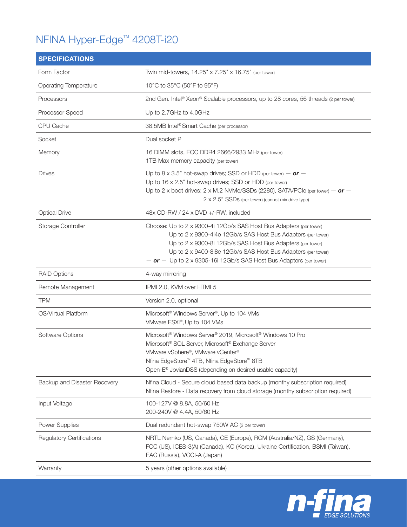# NFINA Hyper-Edge™ 4208T-i20

| <b>SPECIFICATIONS</b>            |                                                                                                                                                                                                                                                                                                                                            |
|----------------------------------|--------------------------------------------------------------------------------------------------------------------------------------------------------------------------------------------------------------------------------------------------------------------------------------------------------------------------------------------|
| Form Factor                      | Twin mid-towers, 14.25" x 7.25" x 16.75" (per tower)                                                                                                                                                                                                                                                                                       |
| Operating Temperature            | 10°C to 35°C (50°F to 95°F)                                                                                                                                                                                                                                                                                                                |
| Processors                       | 2nd Gen. Intel® Xeon® Scalable processors, up to 28 cores, 56 threads (2 per tower)                                                                                                                                                                                                                                                        |
| Processor Speed                  | Up to 2.7GHz to 4.0GHz                                                                                                                                                                                                                                                                                                                     |
| CPU Cache                        | 38.5MB Intel® Smart Cache (per processor)                                                                                                                                                                                                                                                                                                  |
| Socket                           | Dual socket P                                                                                                                                                                                                                                                                                                                              |
| Memory                           | 16 DIMM slots, ECC DDR4 2666/2933 MHz (per tower)<br>1TB Max memory capacity (per tower)                                                                                                                                                                                                                                                   |
| <b>Drives</b>                    | Up to 8 x 3.5" hot-swap drives; SSD or HDD (per tower) - or -<br>Up to 16 x 2.5" hot-swap drives; SSD or HDD (per tower)<br>Up to 2 x boot drives: 2 x M.2 NVMe/SSDs (2280), SATA/PCIe (per tower) $-$ or $-$<br>2 x 2.5" SSDs (per tower) (cannot mix drive type)                                                                         |
| <b>Optical Drive</b>             | 48x CD-RW / 24 x DVD +/-RW, included                                                                                                                                                                                                                                                                                                       |
| Storage Controller               | Choose: Up to 2 x 9300-4i 12Gb/s SAS Host Bus Adapters (per tower)<br>Up to 2 x 9300-4i4e 12Gb/s SAS Host Bus Adapters (per tower)<br>Up to 2 x 9300-8i 12Gb/s SAS Host Bus Adapters (per tower)<br>Up to 2 x 9400-8i8e 12Gb/s SAS Host Bus Adapters (per tower)<br>$-$ or $-$ Up to 2 x 9305-16i 12Gb/s SAS Host Bus Adapters (per tower) |
| <b>RAID Options</b>              | 4-way mirroring                                                                                                                                                                                                                                                                                                                            |
| Remote Management                | IPMI 2.0, KVM over HTML5                                                                                                                                                                                                                                                                                                                   |
| <b>TPM</b>                       | Version 2.0, optional                                                                                                                                                                                                                                                                                                                      |
| OS/Virtual Platform              | Microsoft <sup>®</sup> Windows Server <sup>®</sup> , Up to 104 VMs<br>VMware ESXi®, Up to 104 VMs                                                                                                                                                                                                                                          |
| Software Options                 | Microsoft <sup>®</sup> Windows Server <sup>®</sup> 2019, Microsoft <sup>®</sup> Windows 10 Pro<br>Microsoft <sup>®</sup> SQL Server, Microsoft <sup>®</sup> Exchange Server<br>VMware vSphere®, VMware vCenter®<br>Nfina EdgeStore™ 4TB, Nfina EdgeStore™ 8TB<br>Open-E <sup>®</sup> JovianDSS (depending on desired usable capacity)      |
| Backup and Disaster Recovery     | Nfina Cloud - Secure cloud based data backup (monthy subscription required)<br>Nfina Restore - Data recovery from cloud storage (monthy subscription required)                                                                                                                                                                             |
| Input Voltage                    | 100-127V @ 8.8A, 50/60 Hz<br>200-240V @ 4.4A, 50/60 Hz                                                                                                                                                                                                                                                                                     |
| <b>Power Supplies</b>            | Dual redundant hot-swap 750W AC (2 per tower)                                                                                                                                                                                                                                                                                              |
| <b>Regulatory Certifications</b> | NRTL Nemko (US, Canada), CE (Europe), RCM (Australia/NZ), GS (Germany),<br>FCC (US), ICES-3(A) (Canada), KC (Korea), Ukraine Certification, BSMI (Taiwan),<br>EAC (Russia), VCCI-A (Japan)                                                                                                                                                 |
| Warranty                         | 5 years (other options available)                                                                                                                                                                                                                                                                                                          |